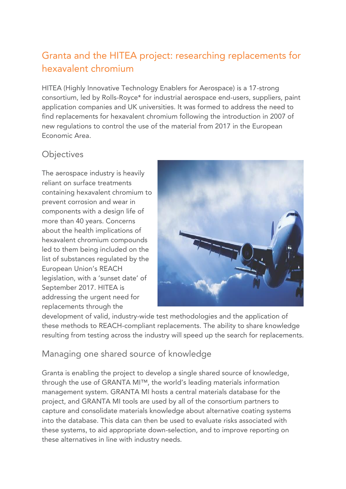# Granta and the HITEA project: researching replacements for hexavalent chromium

HITEA (Highly Innovative Technology Enablers for Aerospace) is a 17-strong consortium, led by Rolls-Royce\* for industrial aerospace end-users, suppliers, paint application companies and UK universities. It was formed to address the need to find replacements for hexavalent chromium following the introduction in 2007 of new regulations to control the use of the material from 2017 in the European Economic Area.

#### **Objectives**

The aerospace industry is heavily reliant on surface treatments containing hexavalent chromium to prevent corrosion and wear in components with a design life of more than 40 years. Concerns about the health implications of hexavalent chromium compounds led to them being included on the list of substances regulated by the European Union's REACH legislation, with a 'sunset date' of September 2017. HITEA is addressing the urgent need for replacements through the



development of valid, industry-wide test methodologies and the application of these methods to REACH-compliant replacements. The ability to share knowledge resulting from testing across the industry will speed up the search for replacements.

### Managing one shared source of knowledge

Granta is enabling the project to develop a single shared source of knowledge, through the use of GRANTA MI™, the world's leading materials information management system. GRANTA MI hosts a central materials database for the project, and GRANTA MI tools are used by all of the consortium partners to capture and consolidate materials knowledge about alternative coating systems into the database. This data can then be used to evaluate risks associated with these systems, to aid appropriate down-selection, and to improve reporting on these alternatives in line with industry needs.